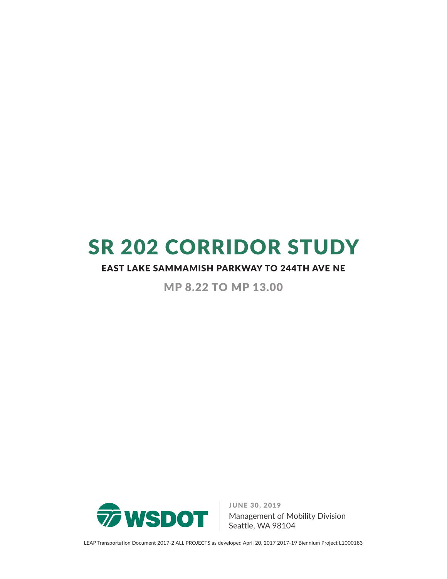# SR 202 CORRIDOR STUDY

#### EAST LAKE SAMMAMISH PARKWAY TO 244TH AVE NE

MP 8.22 TO MP 13.00



JUNE 30, 2019

Management of Mobility Division Seattle, WA 98104

LEAP Transportation Document 2017‐2 ALL PROJECTS as developed April 20, 2017 2017‐19 Biennium Project L1000183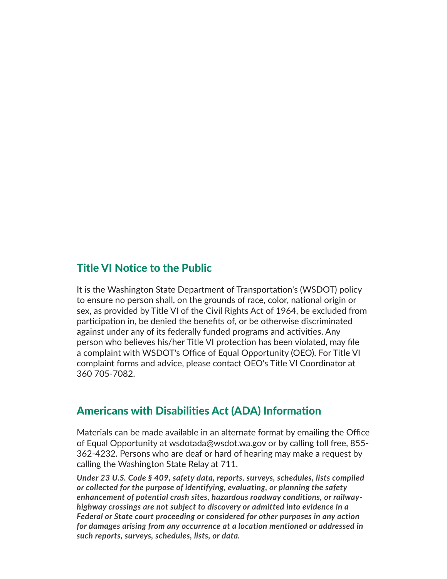#### Title VI Notice to the Public

It is the Washington State Department of Transportation's (WSDOT) policy to ensure no person shall, on the grounds of race, color, national origin or sex, as provided by Title VI of the Civil Rights Act of 1964, be excluded from participation in, be denied the benefits of, or be otherwise discriminated against under any of its federally funded programs and activities. Any person who believes his/her Title VI protection has been violated, may file a complaint with WSDOT's Office of Equal Opportunity (OEO). For Title VI complaint forms and advice, please contact OEO's Title VI Coordinator at 360 705-7082.

#### Americans with Disabilities Act (ADA) Information

Materials can be made available in an alternate format by emailing the Office of Equal Opportunity at wsdotada@wsdot.wa.gov or by calling toll free, 855- 362-4232. Persons who are deaf or hard of hearing may make a request by calling the Washington State Relay at 711.

*Under 23 U.S. Code § 409, safety data, reports, surveys, schedules, lists compiled or collected for the purpose of identifying, evaluating, or planning the safety enhancement of potential crash sites, hazardous roadway conditions, or railwayhighway crossings are not subject to discovery or admitted into evidence in a Federal or State court proceeding or considered for other purposes in any action for damages arising from any occurrence at a location mentioned or addressed in such reports, surveys, schedules, lists, or data.*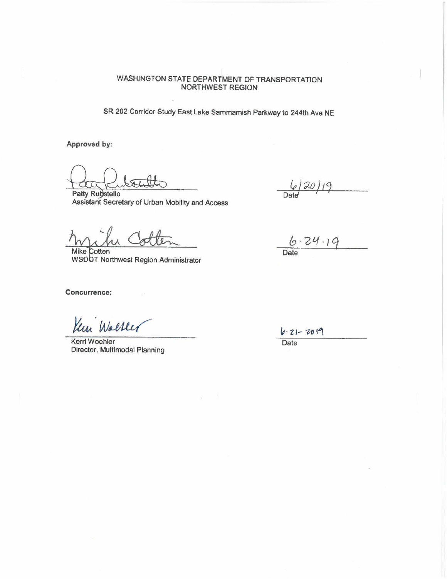#### WASHINGTON STATE DEPARTMENT OF TRANSPORTATION NORTHWEST REGION

SR 202 Corridor Study East lake Sammamish Parkway to 244th Ave NE

**Approved by:** 

**Patty Rubstello** Assistant Secretary of Urban Mobility and Access

 $6/20/19$ 

Mike Cotten WSDOT Northwest Region Administrator

**Concurrence:** 

Walter

Kerri Woehler Date Director, Multimodal Planning

 $6 - 24 - 19$ <br>Date

 $6.21 - 2019$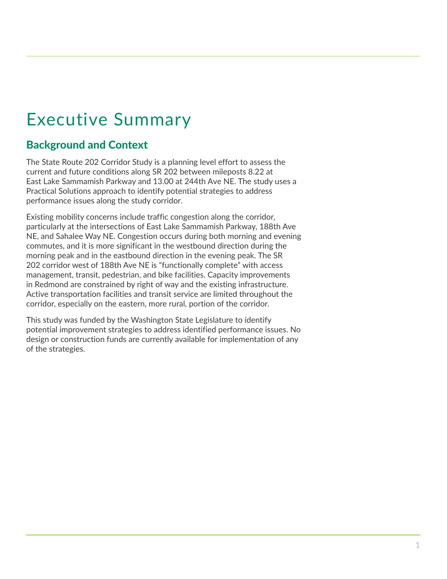## Executive Summary

## Background and Context

The State Route 202 Corridor Study is a planning level effort to assess the current and future conditions along SR 202 between mileposts 8.22 at East Lake Sammamish Parkway and 13.00 at 244th Ave NE. The study uses a Practical Solutions approach to identify potential strategies to address performance issues along the study corridor.

Existing mobility concerns include traffic congestion along the corridor, particularly at the intersections of East Lake Sammamish Parkway, 188th Ave NE, and Sahalee Way NE. Congestion occurs during both morning and evening commutes, and it is more significant in the westbound direction during the morning peak and in the eastbound direction in the evening peak. The SR 202 corridor west of 188th Ave NE is "functionally complete" with access management, transit, pedestrian, and bike facilities. Capacity improvements in Redmond are constrained by right of way and the existing infrastructure. Active transportation facilities and transit service are limited throughout the corridor, especially on the eastern, more rural, portion of the corridor.

This study was funded by the Washington State Legislature to identify potential improvement strategies to address identified performance issues. No design or construction funds are currently available for implementation of any of the strategies.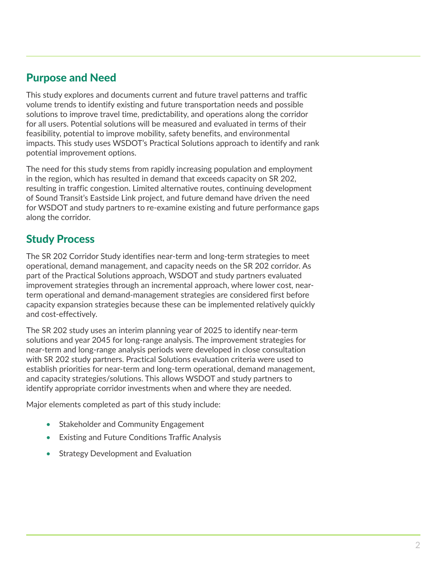### Purpose and Need

This study explores and documents current and future travel patterns and traffic volume trends to identify existing and future transportation needs and possible solutions to improve travel time, predictability, and operations along the corridor for all users. Potential solutions will be measured and evaluated in terms of their feasibility, potential to improve mobility, safety benefits, and environmental impacts. This study uses WSDOT's Practical Solutions approach to identify and rank potential improvement options.

The need for this study stems from rapidly increasing population and employment in the region, which has resulted in demand that exceeds capacity on SR 202, resulting in traffic congestion. Limited alternative routes, continuing development of Sound Transit's Eastside Link project, and future demand have driven the need for WSDOT and study partners to re-examine existing and future performance gaps along the corridor.

## Study Process

The SR 202 Corridor Study identifies near-term and long-term strategies to meet operational, demand management, and capacity needs on the SR 202 corridor. As part of the Practical Solutions approach, WSDOT and study partners evaluated improvement strategies through an incremental approach, where lower cost, nearterm operational and demand‐management strategies are considered first before capacity expansion strategies because these can be implemented relatively quickly and cost-effectively.

The SR 202 study uses an interim planning year of 2025 to identify near‐term solutions and year 2045 for long-range analysis. The improvement strategies for near-term and long-range analysis periods were developed in close consultation with SR 202 study partners. Practical Solutions evaluation criteria were used to establish priorities for near-term and long-term operational, demand management, and capacity strategies/solutions. This allows WSDOT and study partners to identify appropriate corridor investments when and where they are needed.

Major elements completed as part of this study include:

- Stakeholder and Community Engagement
- **Existing and Future Conditions Traffic Analysis**
- Strategy Development and Evaluation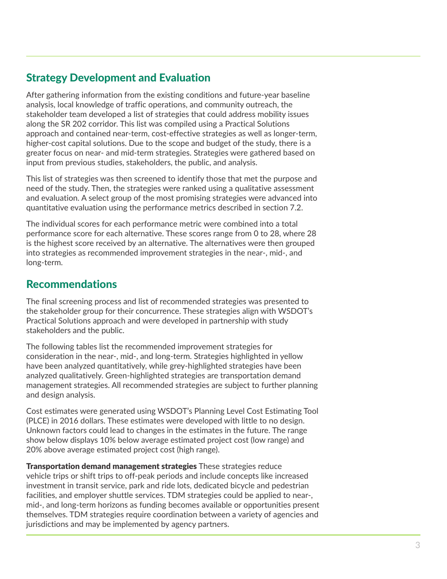### Strategy Development and Evaluation

After gathering information from the existing conditions and future‐year baseline analysis, local knowledge of traffic operations, and community outreach, the stakeholder team developed a list of strategies that could address mobility issues along the SR 202 corridor. This list was compiled using a Practical Solutions approach and contained near-term, cost-effective strategies as well as longer-term, higher-cost capital solutions. Due to the scope and budget of the study, there is a greater focus on near- and mid-term strategies. Strategies were gathered based on input from previous studies, stakeholders, the public, and analysis.

This list of strategies was then screened to identify those that met the purpose and need of the study. Then, the strategies were ranked using a qualitative assessment and evaluation. A select group of the most promising strategies were advanced into quantitative evaluation using the performance metrics described in section 7.2.

The individual scores for each performance metric were combined into a total performance score for each alternative. These scores range from 0 to 28, where 28 is the highest score received by an alternative. The alternatives were then grouped into strategies as recommended improvement strategies in the near‐, mid‐, and long-term.

### Recommendations

The final screening process and list of recommended strategies was presented to the stakeholder group for their concurrence. These strategies align with WSDOT's Practical Solutions approach and were developed in partnership with study stakeholders and the public.

The following tables list the recommended improvement strategies for consideration in the near-, mid-, and long-term. Strategies highlighted in yellow have been analyzed quantitatively, while grey-highlighted strategies have been analyzed qualitatively. Green-highlighted strategies are transportation demand management strategies. All recommended strategies are subject to further planning and design analysis.

Cost estimates were generated using WSDOT's Planning Level Cost Estimating Tool (PLCE) in 2016 dollars. These estimates were developed with little to no design. Unknown factors could lead to changes in the estimates in the future. The range show below displays 10% below average estimated project cost (low range) and 20% above average estimated project cost (high range).

Transportation demand management strategies These strategies reduce vehicle trips or shift trips to off-peak periods and include concepts like increased investment in transit service, park and ride lots, dedicated bicycle and pedestrian facilities, and employer shuttle services. TDM strategies could be applied to near-, mid‐, and long‐term horizons as funding becomes available or opportunities present themselves. TDM strategies require coordination between a variety of agencies and jurisdictions and may be implemented by agency partners.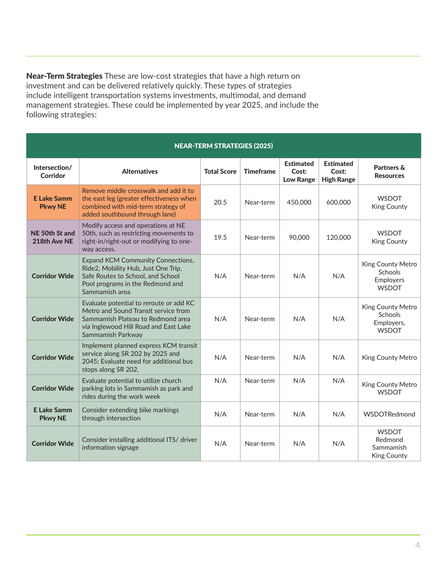Near-Term Strategies These are low-cost strategies that have a high return on investment and can be delivered relatively quickly. These types of strategies include intelligent transportation systems investments, multimodal, and demand management strategies. These could be implemented by year 2025, and include the following strategies:

| <b>NEAR-TERM STRATEGIES (2025)</b>   |                                                                                                                                                                                    |                    |                  |                                               |                                                |                                                            |  |
|--------------------------------------|------------------------------------------------------------------------------------------------------------------------------------------------------------------------------------|--------------------|------------------|-----------------------------------------------|------------------------------------------------|------------------------------------------------------------|--|
| Intersection/<br>Corridor            | <b>Alternatives</b>                                                                                                                                                                | <b>Total Score</b> | <b>Timeframe</b> | <b>Estimated</b><br>Cost:<br><b>Low Range</b> | <b>Estimated</b><br>Cost:<br><b>High Range</b> | Partners &<br><b>Resources</b>                             |  |
| <b>E Lake Samm</b><br><b>Pkwy NE</b> | Remove middle crosswalk and add it to<br>the east leg (greater effectiveness when<br>combined with mid-term strategy of<br>added southbound through lane)                          | 20.5               | Near-term        | 450,000                                       | 600,000                                        | <b>WSDOT</b><br>King County                                |  |
| NE 50th St and<br>218th Ave NE       | Modify access and operations at NE<br>50th, such as restricting movements to<br>right-in/right-out or modifying to one-<br>way access.                                             | 19.5               | Near-term        | 90,000                                        | 120,000                                        | <b>WSDOT</b><br>King County                                |  |
| <b>Corridor Wide</b>                 | <b>Expand KCM Community Connections,</b><br>Ride2, Mobility Hub, Just One Trip,<br>Safe Routes to School, and School<br>Pool programs in the Redmond and<br>Sammamish area         | N/A                | Near-term        | N/A                                           | N/A                                            | King County Metro<br>Schools<br>Employers<br><b>WSDOT</b>  |  |
| <b>Corridor Wide</b>                 | Evaluate potential to reroute or add KC<br>Metro and Sound Transit service from<br>Sammamish Plateau to Redmond area<br>via Inglewood Hill Road and East Lake<br>Sammamish Parkway | N/A                | Near-term        | N/A                                           | N/A                                            | King County Metro<br>Schools<br>Employers,<br><b>WSDOT</b> |  |
| <b>Corridor Wide</b>                 | Implement planned express KCM transit<br>service along SR 202 by 2025 and<br>2045; Evaluate need for additional bus<br>stops along SR 202.                                         | N/A                | Near-term        | N/A                                           | N/A                                            | King County Metro                                          |  |
| <b>Corridor Wide</b>                 | Evaluate potential to utilize church<br>parking lots in Sammamish as park and<br>rides during the work week                                                                        | N/A                | Near-term        | N/A                                           | N/A                                            | King County Metro<br><b>WSDOT</b>                          |  |
| <b>E Lake Samm</b><br><b>Pkwy NE</b> | Consider extending bike markings<br>through intersection                                                                                                                           | N/A                | Near-term        | N/A                                           | N/A                                            | WSDOTRedmond                                               |  |
| <b>Corridor Wide</b>                 | Consider installing additional ITS/ driver<br>information signage                                                                                                                  | N/A                | Near-term        | N/A                                           | N/A                                            | <b>WSDOT</b><br>Redmond<br>Sammamish<br>King County        |  |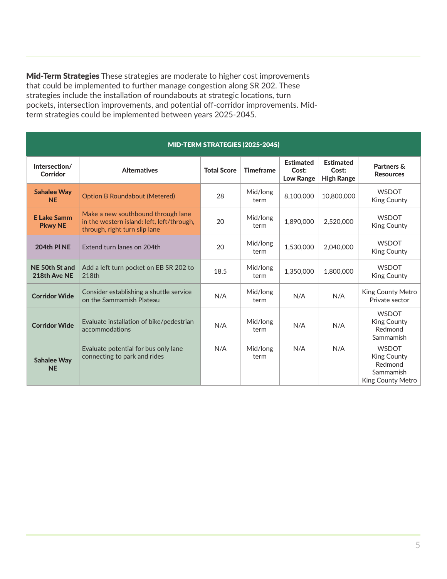Mid-Term Strategies These strategies are moderate to higher cost improvements that could be implemented to further manage congestion along SR 202. These strategies include the installation of roundabouts at strategic locations, turn pockets, intersection improvements, and potential off-corridor improvements. Midterm strategies could be implemented between years 2025-2045.

| MID-TERM STRATEGIES (2025-2045)      |                                                                                                                   |                    |                  |                                               |                                                |                                                                                        |  |  |
|--------------------------------------|-------------------------------------------------------------------------------------------------------------------|--------------------|------------------|-----------------------------------------------|------------------------------------------------|----------------------------------------------------------------------------------------|--|--|
| Intersection/<br>Corridor            | <b>Alternatives</b>                                                                                               | <b>Total Score</b> | <b>Timeframe</b> | <b>Estimated</b><br>Cost:<br><b>Low Range</b> | <b>Estimated</b><br>Cost:<br><b>High Range</b> | Partners &<br><b>Resources</b>                                                         |  |  |
| <b>Sahalee Way</b><br><b>NE</b>      | <b>Option B Roundabout (Metered)</b>                                                                              | 28                 | Mid/long<br>term | 8,100,000                                     | 10,800,000                                     | <b>WSDOT</b><br><b>King County</b>                                                     |  |  |
| <b>E Lake Samm</b><br><b>Pkwy NE</b> | Make a new southbound through lane<br>in the western island: left, left/through,<br>through, right turn slip lane | 20                 | Mid/long<br>term | 1,890,000                                     | 2,520,000                                      | <b>WSDOT</b><br>King County                                                            |  |  |
| 204th PINE                           | Extend turn lanes on 204th                                                                                        | 20                 | Mid/long<br>term | 1,530,000                                     | 2.040.000                                      | <b>WSDOT</b><br><b>King County</b>                                                     |  |  |
| NE 50th St and<br>218th Ave NE       | Add a left turn pocket on EB SR 202 to<br>218th                                                                   | 18.5               | Mid/long<br>term | 1.350.000                                     | 1,800,000                                      | <b>WSDOT</b><br>King County                                                            |  |  |
| <b>Corridor Wide</b>                 | Consider establishing a shuttle service<br>on the Sammamish Plateau                                               | N/A                | Mid/long<br>term | N/A                                           | N/A                                            | King County Metro<br>Private sector                                                    |  |  |
| <b>Corridor Wide</b>                 | Evaluate installation of bike/pedestrian<br>accommodations                                                        | N/A                | Mid/long<br>term | N/A                                           | N/A                                            | <b>WSDOT</b><br>King County<br>Redmond<br>Sammamish                                    |  |  |
| <b>Sahalee Way</b><br><b>NE</b>      | Evaluate potential for bus only lane<br>connecting to park and rides                                              | N/A                | Mid/long<br>term | N/A                                           | N/A                                            | <b>WSDOT</b><br><b>King County</b><br>Redmond<br>Sammamish<br><b>King County Metro</b> |  |  |